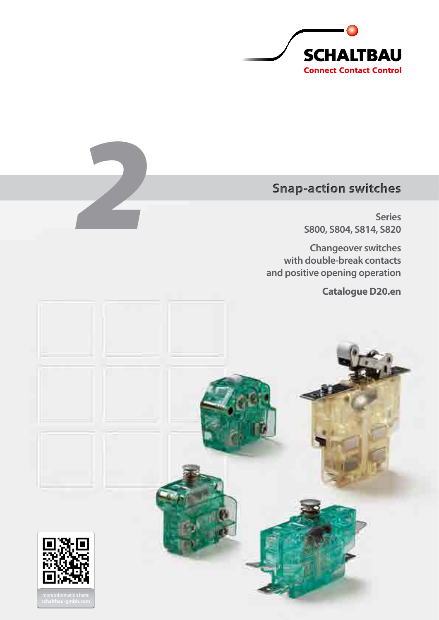

# **Snap-action switches**

**Series S800, S804, S814, S820**

**Changeover switches with double-break contacts and positive opening operation**

**Catalogue D20.en**



*2*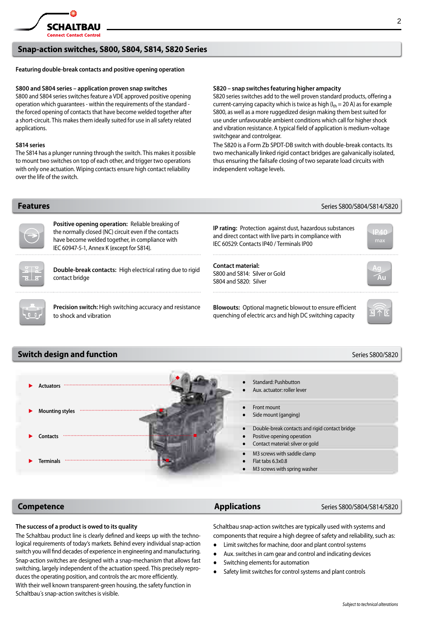

# **Snap-action switches, S800, S804, S814, S820 Series**

# **Featuring double-break contacts and positive opening operation**

## **S800 and S804 series – application proven snap switches**

S800 and S804 series switches feature a VDE approved positive opening operation which guarantees - within the requirements of the standard the forced opening of contacts that have become welded together after a short-circuit. This makes them ideally suited for use in all safety related applications.

### **S814 series**

The S814 has a plunger running through the switch. This makes it possible to mount two switches on top of each other, and trigger two operations with only one actuation. Wiping contacts ensure high contact reliability over the life of the switch.

# **S820 – snap switches featuring higher ampacity**

S820 series switches add to the well proven standard products, offering a current-carrying capacity which is twice as high ( $I_{th}$  = 20 A) as for example S800, as well as a more ruggedized design making them best suited for use under unfavourable ambient conditions which call for higher shock and vibration resistance. A typical field of application is medium-voltage switchgear and controlgear.

The S820 is a Form Zb SPDT-DB switch with double-break contacts. Its two mechanically linked rigid contact bridges are galvanically isolated, thus ensuring the failsafe closing of two separate load circuits with independent voltage levels.

# **Switch design and function and strategies of the strategies of the strategies of the S800/S820** → Actuators → Standard: Pushbutton Aux. actuator: roller lever ► **Mounting styles** ● Front mount Side mount (ganging) ► **Contacts** Double-break contacts and rigid contact bridge Positive opening operation Contact material: silver or gold M3 screws with saddle clamp **Positive opening operation:** Reliable breaking of the normally closed (NC) circuit even if the contacts have become welded together, in compliance with IEC 60947-5-1, Annex K (except for S814). **IP rating:** Protection against dust, hazardous substances and direct contact with live parts in compliance with IEC 60529: Contacts IP40 / Terminals IP00 **IP40 Double-break contacts:** High electrical rating due to rigid contact bridge **Contact material:** S800 and S814: Silver or Gold S804 and S820: Silver **Ag Au Precision switch:** High switching accuracy and resistance to shock and vibration **Blowouts:** Optional magnetic blowout to ensure efficient quenching of electric arcs and high DC switching capacity

**Features Example 2008 1999 1999 1999 1999 1999 1999 1999 1999 1999 1999 1999 1999 1999 1999 1999 1999 1999 1999 1999 1999 1999 1999 1999 1999 19** 

Schaltbau´s snap-action switches is visible.

► **Terminals**

# **Competence** *Applications* Series S800/S804/S814/S820

### **The success of a product is owed to its quality**

The Schaltbau product line is clearly defined and keeps up with the technological requirements of today's markets. Behind every individual snap-action switch you will find decades of experience in engineering and manufacturing. Snap-action switches are designed with a snap-mechanism that allows fast switching, largely independent of the actuation speed. This precisely reproduces the operating position, and controls the arc more efficiently. With their well known transparent-green housing, the safety function in

Schaltbau snap-action switches are typically used with systems and components that require a high degree of safety and reliability, such as:

- Limit switches for machine, door and plant control systems
- Aux. switches in cam gear and control and indicating devices
- Switching elements for automation

● Flat tabs 6.3x0.8

M3 screws with spring washer

Safety limit switches for control systems and plant controls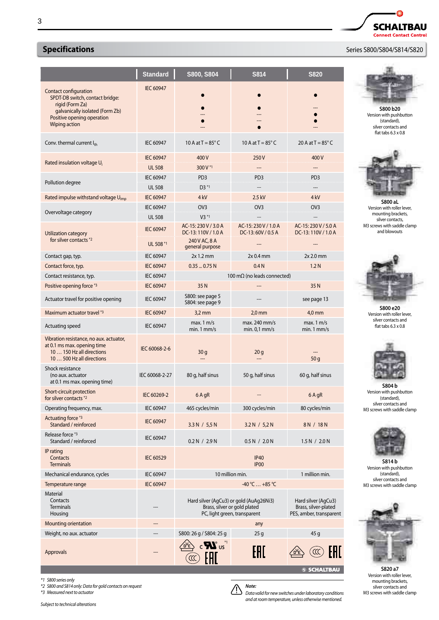|                                                                                                                                                               | <b>Standard</b>                   | S800, S804                                                                                              | <b>S814</b>                              | <b>S820</b>                                                            |
|---------------------------------------------------------------------------------------------------------------------------------------------------------------|-----------------------------------|---------------------------------------------------------------------------------------------------------|------------------------------------------|------------------------------------------------------------------------|
| Contact configuration<br>SPDT-DB switch, contact bridge:<br>rigid (Form Za)<br>galvanically isolated (Form Zb)<br>Positive opening operation<br>Wiping action | <b>IEC 60947</b>                  |                                                                                                         |                                          |                                                                        |
| Conv. thermal current Ith                                                                                                                                     | <b>IEC 60947</b>                  | 10 A at $T = 85^\circ$ C                                                                                | 10 A at $T = 85^{\circ}$ C               | 20 A at $T = 85^{\circ}$ C                                             |
| Rated insulation voltage U <sub>i</sub>                                                                                                                       | <b>IEC 60947</b><br><b>UL 508</b> | 400V<br>300 V*1                                                                                         | 250V                                     | 400V                                                                   |
| Pollution degree                                                                                                                                              | IEC 60947<br><b>UL 508</b>        | PD <sub>3</sub><br>$D3*1$                                                                               | PD <sub>3</sub>                          | PD <sub>3</sub>                                                        |
| Rated impulse withstand voltage U <sub>imp</sub>                                                                                                              | <b>IEC 60947</b><br>IEC 60947     | 4 kV<br>OV <sub>3</sub>                                                                                 | 2.5 kV<br>OV <sub>3</sub>                | 4 <sub>kV</sub><br>OV <sub>3</sub>                                     |
| Overvoltage category                                                                                                                                          | <b>UL 508</b>                     | $V3*1$                                                                                                  |                                          |                                                                        |
| Utilization category<br>for silver contacts *2                                                                                                                | <b>IEC 60947</b><br>UL 508 *1     | AC-15: 230 V / 3.0 A<br>DC-13:110V / 1.0 A<br>240 V AC, 8 A                                             | AC-15:230 V / 1.0 A<br>DC-13:60V / 0.5 A | AC-15: 230 V / 5.0 A<br>DC-13:110V / 1.0 A                             |
| Contact gap, typ.                                                                                                                                             | <b>IEC 60947</b>                  | general purpose<br>$2x$ 1.2 mm                                                                          | $2x0.4$ mm                               | $2x 2.0$ mm                                                            |
| Contact force, typ.                                                                                                                                           | <b>IEC 60947</b>                  | 0.350.75N                                                                                               | 0.4 <sub>N</sub>                         | 1.2 <sub>N</sub>                                                       |
| Contact resistance, typ.                                                                                                                                      | IEC 60947                         |                                                                                                         | 100 m $\Omega$ (no leads connected)      |                                                                        |
| Positive opening force *3                                                                                                                                     | <b>IEC 60947</b>                  | 35 N                                                                                                    |                                          | 35 N                                                                   |
| Actuator travel for positive opening                                                                                                                          | IEC 60947                         | S800: see page 5<br>S804: see page 9                                                                    |                                          | see page 13                                                            |
| Maximum actuator travel *3                                                                                                                                    | <b>IEC 60947</b>                  | $3,2$ mm                                                                                                | $2,0$ mm                                 | 4,0 mm                                                                 |
| Actuating speed                                                                                                                                               | <b>IEC 60947</b>                  | max. $1 \text{ m/s}$<br>$min.1$ mm/s                                                                    | max. 240 mm/s<br>$min. 0.1$ mm/s         | max. $1 \text{ m/s}$<br>$min.1$ mm/s                                   |
| Vibration resistance, no aux. actuator,<br>at 0.1 ms max. opening time<br>10  150 Hz all directions<br>10  500 Hz all directions                              | IEC 60068-2-6                     | 30 g                                                                                                    | 20 <sub>g</sub>                          | 50q                                                                    |
| Shock resistance<br>(no aux. actuator<br>at 0.1 ms max. opening time)                                                                                         | IEC 60068-2-27                    | 80 g, half sinus                                                                                        | 50 g, half sinus                         | 60 g, half sinus                                                       |
| Short-circuit protection<br>for silver contacts *2                                                                                                            | IEC 60269-2                       | 6 A gR                                                                                                  |                                          | 6 A gR                                                                 |
| Operating frequency, max.                                                                                                                                     | <b>IEC 60947</b>                  | 465 cycles/min                                                                                          | 300 cycles/min                           | 80 cycles/min                                                          |
| Actuating force *3<br>Standard / reinforced                                                                                                                   | <b>IEC 60947</b>                  | 3.3 N / 5.5 N                                                                                           | 3.2 N / 5.2 N                            | 8 N / 18 N                                                             |
| Release force *3<br>Standard / reinforced                                                                                                                     | <b>IEC 60947</b>                  | 0.2 N / 2.9 N                                                                                           | 0.5 N / 2.0 N                            | 1.5 N / 2.0 N                                                          |
| IP rating<br>Contacts<br><b>Terminals</b>                                                                                                                     | <b>IEC 60529</b>                  | <b>IP40</b><br>IP <sub>00</sub>                                                                         |                                          |                                                                        |
| Mechanical endurance, cycles                                                                                                                                  | IEC 60947                         | 10 million min.<br>1 million min.                                                                       |                                          |                                                                        |
| Temperature range                                                                                                                                             | <b>IEC 60947</b>                  | $-40 °C  +85 °C$                                                                                        |                                          |                                                                        |
| Material<br>Contacts<br>Terminals<br>Housing                                                                                                                  |                                   | Hard silver (AgCu3) or gold (AuAg26Ni3)<br>Brass, silver or gold plated<br>PC, light green, transparent |                                          | Hard silver (AgCu3)<br>Brass, silver-plated<br>PES, amber, transparent |
| <b>Mounting orientation</b>                                                                                                                                   |                                   |                                                                                                         | any                                      |                                                                        |
| Weight, no aux. actuator                                                                                                                                      | ---                               | S800: 26 g / S804: 25 g                                                                                 | 25 <sub>g</sub>                          | 45 g                                                                   |
| Approvals                                                                                                                                                     |                                   | $c$ $\mathbf{N}$ us <sup>1</sup>                                                                        | FHI.                                     |                                                                        |



 $\bullet$ 

# **Specifications Specifications**  *Series S800/S804/S814/S820*



**S800 b20** Version with pushbutton (standard), silver contacts and flat tabs 6.3 x 0.8



**S800 aL** Version with roller lever, mounting brackets, silver contacts, M3 screws with saddle clamp and blowouts



**S800 e20** Version with roller lever, silver contacts and flat tabs 6.3 x 0.8



**S804 b** Version with pushbutton (standard), silver contacts and M3 screws with saddle clamp



**S814 b** Version with pushbutton (standard), silver contacts and M3 screws with saddle clamp



**S820 a7**<br>Version with roller lever mounting brackets, silver contacts and M3 screws with saddle clamp

*Subject to technical alterations \*3 Measured next to actuator*

*\*2 S800 and S814 only: Data for gold contacts on request*

*\*1 S800 series only*



*Data valid for new switches under laboratory conditions and at room temperature, unless otherwise mentioned.*

**S SCHALTBAU** 

*Note:*  $\Delta$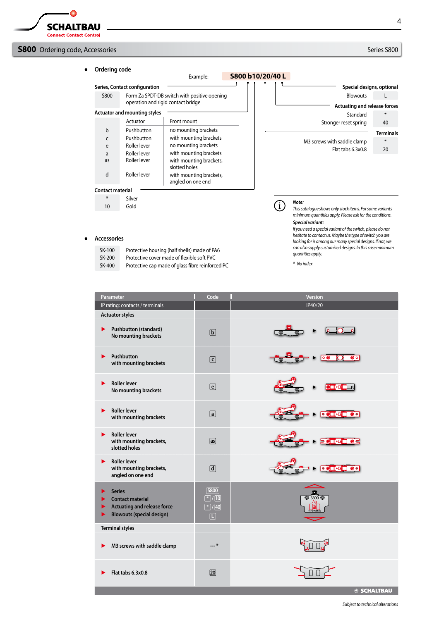# **S800** Ordering code, Accessories S800 **Series S800** Series S800

● **Ordering code** Example: **S800 b10/20/40 L** J. **Series, Contact configuration Special designs, optional** S800 Form Za SPDT-DB switch with positive opening Blowouts L operation and rigid contact bridge **Actuating and release forces Actuator and mounting styles** Standard \* Actuator Front mount Stronger reset spring 40 b Pushbutton no mounting brackets **Terminals** c Pushbutton with mounting brackets M3 screws with saddle clamp \* no mounting brackets e Roller lever Flat tabs 6.3x0.8 20 Roller lever with mounting brackets a Roller lever as with mounting brackets, slotted holes Roller lever d with mounting brackets, angled on one end **Contact material** Silver \* *Note:* G) 10 Gold *This catalogue shows only stock items. For some variants minimum quantities apply. Please ask for the conditions.*

*Special variant:*

*quantities apply. \* No index*

*If you need a special variant of the switch, please do not hesitate to contact us. Maybe the type of switch you are looking for is among our many special designs. If not, we can also supply customized designs. In this case minimum* 

#### ● **Accessories**

| SK-100 | Protective housing (half shells) made of PA6     |
|--------|--------------------------------------------------|
| SK-200 | Protective cover made of flexible soft PVC       |
| SK-400 | Protective cap made of glass fibre reinforced PC |

| Parameter<br>П                                                                                                               | Code                                                                         | <b>Version</b>                                                                                                                                                             |
|------------------------------------------------------------------------------------------------------------------------------|------------------------------------------------------------------------------|----------------------------------------------------------------------------------------------------------------------------------------------------------------------------|
| IP rating: contacts / terminals                                                                                              |                                                                              | IP40/20                                                                                                                                                                    |
| <b>Actuator styles</b>                                                                                                       |                                                                              |                                                                                                                                                                            |
| <b>Pushbutton (standard)</b><br>▶<br>No mounting brackets                                                                    | $\boxed{\mathbf{b}}$                                                         | $\odot$                                                                                                                                                                    |
| Pushbutton<br>▶<br>with mounting brackets                                                                                    | $\lceil$ c $\rceil$                                                          | K<br>$\overline{\bullet}$ ol<br>$\overline{\circ}$<br>$\overline{\bullet}$<br>$\overline{\odot}$                                                                           |
| <b>Roller lever</b><br>▶<br>No mounting brackets                                                                             | $\boxed{e}$                                                                  | <b>CICER</b><br>$\odot$                                                                                                                                                    |
| <b>Roller lever</b><br>▶<br>with mounting brackets                                                                           | $\boxed{a}$                                                                  |                                                                                                                                                                            |
| <b>Roller lever</b><br>▶<br>with mounting brackets,<br>slotted holes                                                         | $\boxed{as}$                                                                 | <b>POTTE OC</b><br>$\circ$<br>$\odot$                                                                                                                                      |
| <b>Roller lever</b><br>▶<br>with mounting brackets,<br>angled on one end                                                     | $\boxed{d}$                                                                  | $\overline{\bullet}$ $\overline{\bullet}$ $\overline{\bullet}$ $\overline{\bullet}$ $\overline{\bullet}$ $\overline{\bullet}$ $\overline{\bullet}$<br>$\odot$<br>$\bullet$ |
| <b>Series</b><br><b>Contact material</b><br><b>Actuating and release force</b><br>×<br><b>Blowouts (special design)</b><br>▶ | [ <b>S</b> 800]<br>$\sqrt{2}$ /[10]<br>$\boxed{\ast}$ / 40<br>$\boxed{\Box}$ | $\overline{\circledcirc}$ s800 $\overline{\circledcirc}$                                                                                                                   |
| <b>Terminal styles</b>                                                                                                       |                                                                              |                                                                                                                                                                            |
| M3 screws with saddle clamp<br>▶                                                                                             | *                                                                            |                                                                                                                                                                            |
| Flat tabs 6.3x0.8                                                                                                            | [20]                                                                         |                                                                                                                                                                            |
|                                                                                                                              |                                                                              | <b>SSCHALTBAU</b>                                                                                                                                                          |

*Subject to technical alterations*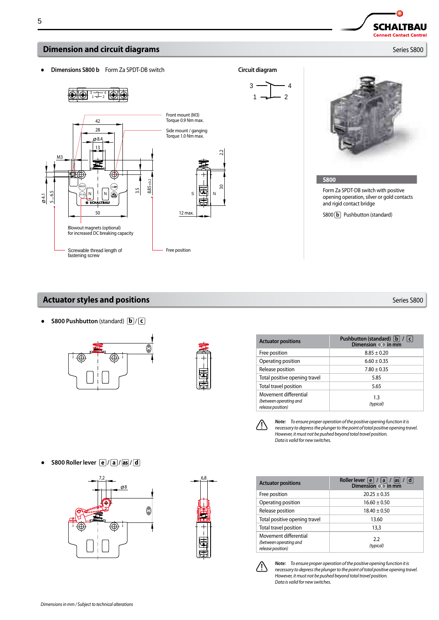

# **Actuator styles and positions** Series S800

● **S800 Pushbutton** (standard) **b** / **c**





| <b>Actuator positions</b>                                            | Pushbutton (standard) $ b  /  c $<br>Dimension (X) in mm |
|----------------------------------------------------------------------|----------------------------------------------------------|
| Free position                                                        | $8.85 \pm 0.20$                                          |
| Operating position                                                   | $6.60 \pm 0.35$                                          |
| Release position                                                     | $7.80 \pm 0.35$                                          |
| Total positive opening travel                                        | 5.85                                                     |
| Total travel position                                                | 5.65                                                     |
| Movement differential<br>(between operating and<br>release position) | 1.3<br>(typical)                                         |

 $\sqrt{2}$ 

*Note: To ensure proper operation of the positive opening function it is necessary to depress the plunger to the point of total positive opening travel. However, it must not be pushed beyond total travel position. Data is valid for new switches.*

| <b>Actuator positions</b>                                            | Roller lever $ e $<br> d <br> as <br> a <br>Dimension $\overline{\infty}$ in mm |
|----------------------------------------------------------------------|---------------------------------------------------------------------------------|
| Free position                                                        | $20.25 \pm 0.35$                                                                |
| Operating position                                                   | $16.60 \pm 0.50$                                                                |
| Release position                                                     | $18.40 \pm 0.50$                                                                |
| Total positive opening travel                                        | 13.60                                                                           |
| Total travel position                                                | 13,3                                                                            |
| Movement differential<br>(between operating and<br>release position) | 2.2<br>(typical)                                                                |



*Note: To ensure proper operation of the positive opening function it is necessary to depress the plunger to the point of total positive opening travel. However, it must not be pushed beyond total travel position. Data is valid for new switches.*







Δ **SCHALTBAU Connect Contact Control**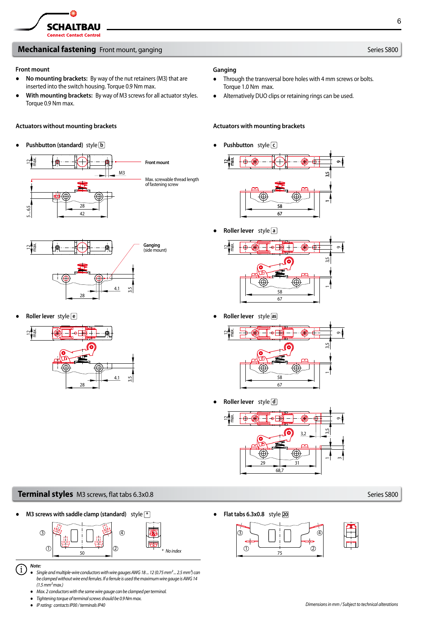# **Mechanical fastening** Front mount, ganging Series Sand Series Sand Series S800

### **Front mount**

- **No mounting brackets:** By way of the nut retainers (M3) that are inserted into the switch housing. Torque 0.9 Nm max.
- **With mounting brackets:** By way of M3 screws for all actuator styles. Torque 0.9 Nm max.

# **Actuators without mounting brackets Actuators with mounting brackets**

# ● **Pushbutton (standard)** style **b**





● **Roller lever** style **e**



# **Ganging**

- Through the transversal bore holes with 4 mm screws or bolts. Torque 1.0 Nm max.
- Alternatively DUO clips or retaining rings can be used.

● **Pushbutton** style **c**



● **Roller lever** style **a**



● **Roller lever** style **as**



● **Roller lever** style **d**



# **Terminal styles** M3 screws, flat tabs 6.3x0.8 Series S800

● **M3 screws with saddle clamp (standard)** style **\*** ● **Flat tabs 6.3x0.8** style **20**





- *Single and multiple-wire conductors with wire gauges AWG 18 ... 12 (0.75 mm²... 2.5 mm²) can be clamped without wire end ferrules. If a ferrule is used the maximum wire gauge is AWG14 (1.5 mm² max.)*
	- *Max. 2 conductors with the same wire gauge can be clamped per terminal.*
	- *Tightening torque of terminal screws should be 0.9Nm max.*
	- *IP rating: contacts IP00 / terminals IP40*

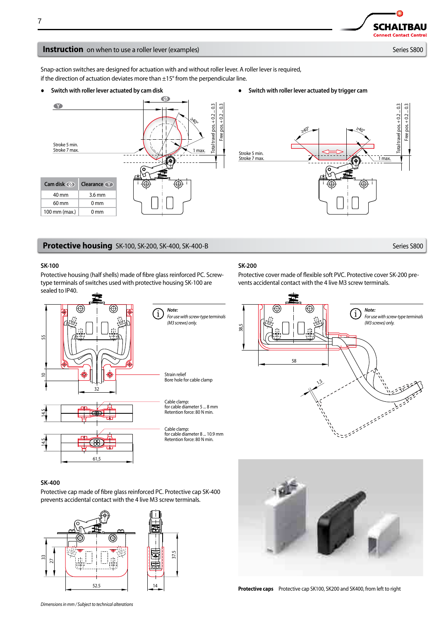> Total travel pos. + 0.2 ... 0.3 Free pos. + 0.2 ... 0.3

Total travel pos. + 0.2.

Free pos. + 0.2 ... 0.3

 $0.3$ 

1 max.

≥40°

# **Instruction** on when to use a roller lever (examples) Series S800

Snap-action switches are designed for actuation with and without roller lever. A roller lever is required, if the direction of actuation deviates more than  $\pm 15^{\circ}$  from the perpendicular line.

● **Switch with roller lever actuated by cam disk** ● **Switch with roller lever actuated by trigger cam**



# **Protective housing** SK-100, SK-200, SK-400, SK-400-B Series S800

### **SK-100**

Protective housing (half shells) made of fibre glass reinforced PC. Screwtype terminals of switches used with protective housing SK-100 are sealed to IP40.



*Note: For use with screw-type terminals (M3 screws) only.*

> Strain relief Bore hole for cable clamp



Cable clamp: for cable diameter 8 ... 10.9 mm Retention force: 80 N min.

# **SK-200**

Stroke 5 min. Stroke 7 max.

Protective cover made of flexible soft PVC. Protective cover SK-200 prevents accidental contact with the 4 live M3 screw terminals.

≥40°





Protective cap made of fibre glass reinforced PC. Protective cap SK-400 prevents accidental contact with the 4 live M3 screw terminals.







**Protective caps** Protective cap SK100, SK200 and SK400, from left to right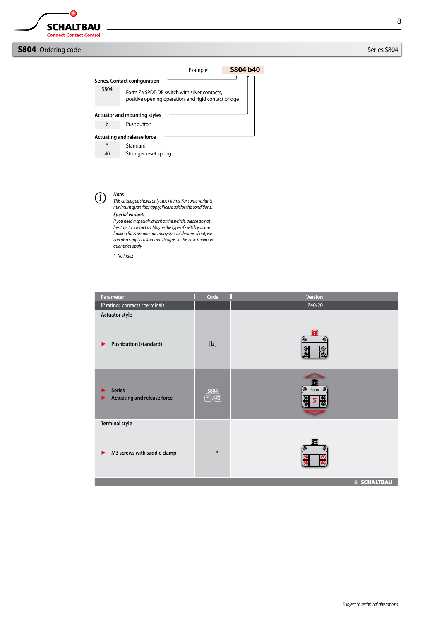$\bullet$ 

# **S804** Ordering code Series S804

Example: **S804 b40** ŋ **Series, Contact configuration** S804 Form Za SPDT-DB switch with silver contacts, positive opening operation, and rigid contact bridge **Actuator and mounting styles** b Pushbutton **Actuating and release force** \* Standard 40 Stronger reset spring

*Note:* T)

*This catalogue shows only stock items. For some variants minimum quantities apply. Please ask for the conditions. Special variant:*

*If you need a special variant of the switch, please do not hesitate to contact us. Maybe the type of switch you are looking for is among our many special designs. If not, we can also supply customized designs. In this case minimum quantities apply.*

*\* No index*

| Parameter                                           | Code                            | Version                                          |
|-----------------------------------------------------|---------------------------------|--------------------------------------------------|
| IP rating: contacts / terminals                     |                                 | IP40/20                                          |
| <b>Actuator style</b>                               |                                 |                                                  |
| Pushbutton (standard)<br>▶                          | $\boxed{\mathbf{b}}$            | Œ<br>$\bullet$<br>(©<br>8) B<br>80               |
| <b>Series</b><br><b>Actuating and release force</b> | <b>S804</b><br>$\boxed{*}$ / 40 | п<br>'●<br>$5804$ $\odot$<br>$^{\circledR}$<br>≶ |
| <b>Terminal style</b>                               |                                 |                                                  |
| M3 screws with saddle clamp<br>▶                    | *                               | π<br>$\bullet$<br>◎                              |
|                                                     |                                 | <b>SSCHALTBAU</b>                                |



8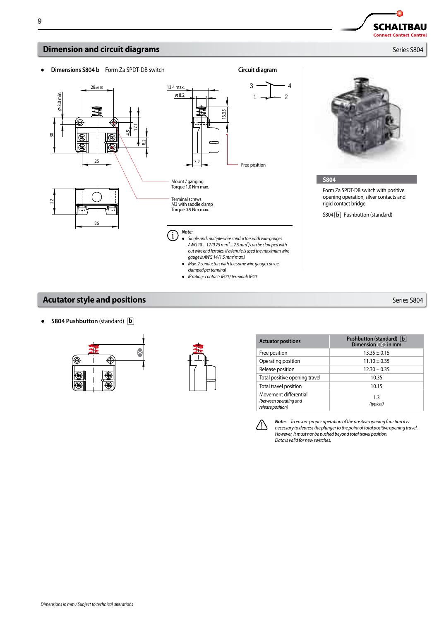

# **Acutator style and positions** *Series S804*

● **S804 Pushbutton** (standard) **b**





● *IP rating: contacts IP00 / terminals IP40*

| <b>Actuator positions</b>                                            | Pushbutton (standard)   b  <br>Dimension <b>(X)</b> in mm |
|----------------------------------------------------------------------|-----------------------------------------------------------|
| Free position                                                        | $13.35 \pm 0.15$                                          |
| Operating position                                                   | $11.10 \pm 0.35$                                          |
| Release position                                                     | $12.30 \pm 0.35$                                          |
| Total positive opening travel                                        | 10.35                                                     |
| Total travel position                                                | 10.15                                                     |
| Movement differential<br>(between operating and<br>release position) | 1.3<br>(typical)                                          |



*Note: To ensure proper operation of the positive opening function it is necessary to depress the plunger to the point of total positive opening travel. However, it must not be pushed beyond total travel position. Data is valid for new switches.*

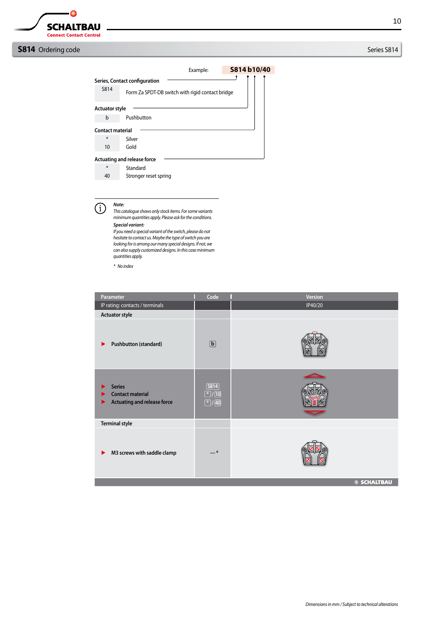**Connect Contact Control** 

- 0

**SCHALTBAU** 

# **S814** Ordering code Series S814

Example: **S814 b10/40** h **Series, Contact configuration** S814 Form Za SPDT-DB switch with rigid contact bridge **Actuator style** b Pushbutton **Contact material** \* Silver 10 Gold **Actuating and release force** \* Standard 40 Stronger reset spring*Note:*  $(i)$ *This catalogue shows only stock items. For some variants minimum quantities apply. Please ask for the conditions. Special variant: If you need a special variant of the switch, please do not hesitate to contact us. Maybe the type of switch you are looking for is among our many special designs. If not, we can also supply customized designs. In this case minimum quantities apply. \* No index*

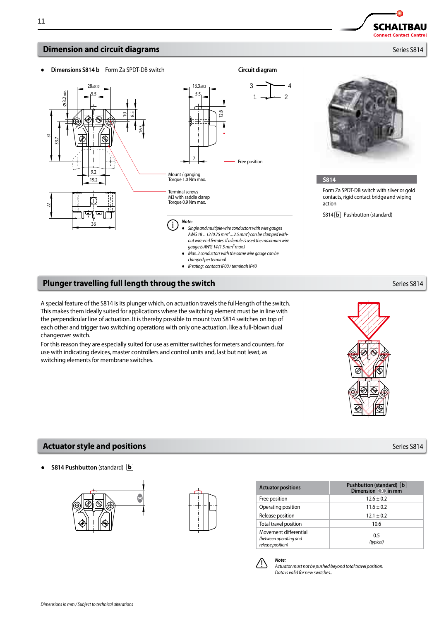# **Dimension and circuit diagrams** *Series S814*

● **Dimensions S814 b** Form Za SPDT-DB switch **Circuit diagram**

A special feature of the S814 is its plunger which, on actuation travels the full-length of the switch. This makes them ideally suited for applications where the switching element must be in line with the perpendicular line of actuation. It is thereby possible to mount two S814 switches on top of each other and trigger two switching operations with only one actuation, like a full-blown dual changeover switch.

Terminal screws M3 with saddle clamp Torque 0.9 Nm max.

*Note:*

 $\mathbf{i}$ 

Mount / ganging Torque 1.0 Nm max.

For this reason they are especially suited for use as emitter switches for meters and counters, for use with indicating devices, master controllers and control units and, last but not least, as switching elements for membrane switches.

# **Actuator style and positions by the contract of the contract of the contract of the series S814**

● **S814 Pushbutton** (standard) **b**



| <b>Actuator positions</b>                       | Pushbutton (St<br><b>Dimension</b> |
|-------------------------------------------------|------------------------------------|
| Free position                                   | $12.6 \pm$                         |
| Operating position                              | $11.6 \pm$                         |
| Release position                                | $12.1 \pm$                         |
| Total travel position                           | 10.6                               |
| Movement differential<br>(between operating and | 0.5<br>(4.12)                      |

*release position)*

*Note: Actuator must not be pushed beyond total travel position. Data is valid for new switches..*

8.5

2

16.5

 $28\pm0.15$  16.3 $\pm0.2$  $5.5$   $\Box$  5.5

 $19.2$ 9.2

36

4  $\overline{2}$ 

3 1

Free position

● *Single and multiple-wire conductors with wire gauges AWG 18 ... 12 (0.75 mm²... 2.5 mm²) can be clamped without wire end ferrules. If a ferrule is used the maximum wire* 

● *Max. 2 conductors with the same wire gauge can be* 

*gauge is AWG14 (1.5 mm² max.)*

*clamped per terminal* ● *IP rating: contacts IP00 / terminals IP40*

12.6

# **S814** Form Za SPDT-DB switch with silver or gold contacts, rigid contact bridge and wiping action

S814 **b** Pushbutton (standard)





**Pushbutton (standard) b Dimension**  $\bullet$  **in mm**  $12.6 \pm 0.2$  $11.6 \pm 0.2$  $12.1 \pm 0.2$ 

> 0.5 *(typical)*





53.7 న్

 $2.2<sub>n</sub>$ 

22

**Plunger travelling full length throug the switch Series S814** Series S814

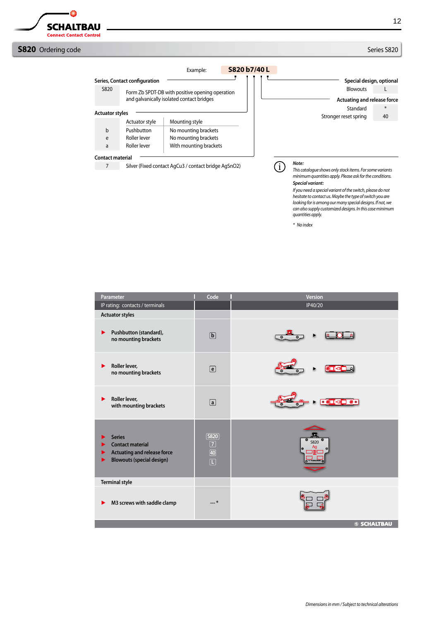$\bullet$ 

# **S820** Ordering code Series S820

Example: **S820 b7/40 L** J **Series, Contact configuration Special design, optional** S820 Form Zb SPDT-DB with positive opening operation Blowouts L and galvanically isolated contact bridges **Actuating and release force** Standard \* **Actuator styles** Stronger reset spring 40 Actuator style | Mounting style b Pushbutton No mounting brackets e Roller lever No mounting brackets a Roller lever With mounting brackets **Contact material** *Note:* 7 Silver (Fixed contact AgCu3 / contact bridge AgSnO2)  $(i)$ *This catalogue shows only stock items. For some variants minimum quantities apply. Please ask for the conditions.*

# *Special variant:*

*If you need a special variant of the switch, please do not hesitate to contact us. Maybe the type of switch you are looking for is among our many special designs. If not, we can also supply customized designs. In this case minimum quantities apply.*

*\* No index*

| Parameter                                                                                                               | Code                                                                              | Version                                                                                                                                                                                                                                                                                                                                             |
|-------------------------------------------------------------------------------------------------------------------------|-----------------------------------------------------------------------------------|-----------------------------------------------------------------------------------------------------------------------------------------------------------------------------------------------------------------------------------------------------------------------------------------------------------------------------------------------------|
| IP rating: contacts / terminals                                                                                         |                                                                                   | IP40/20                                                                                                                                                                                                                                                                                                                                             |
| <b>Actuator styles</b>                                                                                                  |                                                                                   |                                                                                                                                                                                                                                                                                                                                                     |
| Pushbutton (standard),<br>▶<br>no mounting brackets                                                                     | $\boxed{\mathbf{b}}$                                                              |                                                                                                                                                                                                                                                                                                                                                     |
| Roller lever,<br>▶<br>no mounting brackets                                                                              | $\boxed{e}$                                                                       | $\circ$ T $\circ$ $\circ$                                                                                                                                                                                                                                                                                                                           |
| Roller lever,<br>▶<br>with mounting brackets                                                                            | $\boxed{a}$                                                                       | $\begin{picture}(150,10) \put(0,0){\line(1,0){10}} \put(15,0){\line(1,0){10}} \put(15,0){\line(1,0){10}} \put(15,0){\line(1,0){10}} \put(15,0){\line(1,0){10}} \put(15,0){\line(1,0){10}} \put(15,0){\line(1,0){10}} \put(15,0){\line(1,0){10}} \put(15,0){\line(1,0){10}} \put(15,0){\line(1,0){10}} \put(15,0){\line(1,0){10}} \put(15,0){\line($ |
| <b>Series</b><br><b>Contact material</b><br><b>Actuating and release force</b><br><b>Blowouts (special design)</b><br>⋗ | $[$ S820 $]$<br>$\boxed{7}$<br>$\boxed{40}$<br>$\boxed{\color{blue}\blacksquare}$ | <b>S820</b><br>Aq<br>SCHALTBAU                                                                                                                                                                                                                                                                                                                      |
| <b>Terminal style</b>                                                                                                   |                                                                                   |                                                                                                                                                                                                                                                                                                                                                     |
| M3 screws with saddle clamp                                                                                             | --- *                                                                             |                                                                                                                                                                                                                                                                                                                                                     |
|                                                                                                                         |                                                                                   | <b>SSCHALTBAU</b>                                                                                                                                                                                                                                                                                                                                   |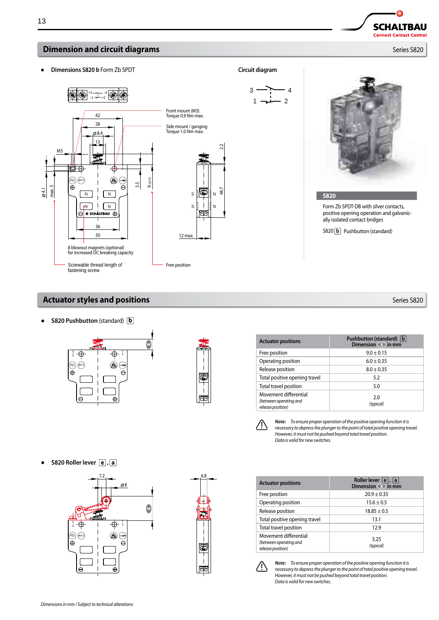

 $+3$  --  $-$  -4<br>-1 --  $+2$ 

42 28

13

ø8.

 $N$   $N$  $\sqrt{N}$   $\sqrt{N}$ 

◈  $\ominus$ Å

3.5

9 ±0.15

● **Dimensions S820 b** Form Zb SPDT **Circuit diagram**

 $\overline{\bigoplus}$  (4KV/3)

M3

max. 5 4.1



Side mount / ganging Torque 1.0 Nm max.

> S S

坚 -i  $\mathbb{E}$ 

Free position

12 max.

N N

44.7 2.2

 $447$ 

J,

1

4 2



 $\Box$ **SCHALTBAU Connect Contact Control** 

#### **S820**

Form Zb SPDT-DB with silver contacts, positive opening operation and galvanically isolated contact bridges

S820 **b** Pushbutton (standard)

# **Actuator styles and positions by the contract of the contract of the contract of the contract of the contract of the contract of the contract of the contract of the contract of the contract of the contract of the contra**

 $\overline{\oplus}$ 

♠⊖

 $\overline{\oplus}$ 

 $\Theta$ 

Screwable thread length of fastening screw

50 36

 $\Theta$   $\overline{\bullet}$  SCHALTBAU  $\oplus$ 

8 blowout magnets (optional) for increased DC breaking capacity

● **S820 Pushbutton** (standard) **b**

 $(95)$   $(4KV/3)$ 

 $\overline{\oplus}$ 

-A



| <b>Actuator positions</b>                                            | Pushbutton (standard)   b  <br>Dimension <b>(X)</b> in mm |
|----------------------------------------------------------------------|-----------------------------------------------------------|
| Free position                                                        | $9.0 \pm 0.15$                                            |
| Operating position                                                   | $6.0 \pm 0.35$                                            |
| Release position                                                     | $8.0 \pm 0.35$                                            |
| Total positive opening travel                                        | 5.2                                                       |
| Total travel position                                                | 5.0                                                       |
| Movement differential<br>(between operating and<br>release position) | 2.0<br>(typical)                                          |



*Note: To ensure proper operation of the positive opening function it is necessary to depress the plunger to the point of total positive opening travel. However, it must not be pushed beyond total travel position. Data is valid for new switches.*

● **S820 Roller lever e , a**







*Note: To ensure proper operation of the positive opening function it is necessary to depress the plunger to the point of total positive opening travel. However, it must not be pushed beyond total travel position. Data is valid for new switches.*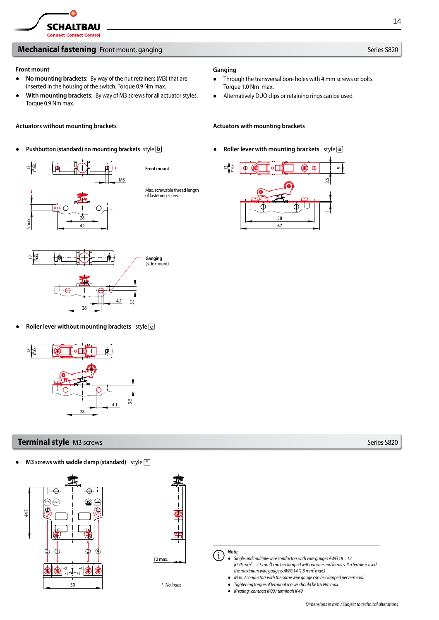# **Mechanical fastening** Front mount, ganging Series S820

### **Front mount**

- **No mounting brackets:** By way of the nut retainers (M3) that are inserted in the housing of the switch. Torque 0.9 Nm max.
- **With mounting brackets:** By way of M3 screws for all actuator styles. Torque 0.9 Nm max.

### Actuators without mounting brackets **Actuators with mounting brackets** Actuators with mounting brackets

# ● **Pushbutton (standard) no mounting brackets** style **b** ● **Roller lever with mounting brackets** style **a**





● **Roller lever without mounting brackets** style **e**



# **Terminal style** M3 screws S820

● **M3 screws with saddle clamp (standard)** style **\***





*\* No index*

# **Ganging**

- Through the transversal bore holes with 4 mm screws or bolts. Torque 1.0 Nm max.
- Alternatively DUO clips or retaining rings can be used.



*Note:*  $\mathbf{i}$ ● *Single and multiple-wire conductors with wire gauges AWG 18 ... 12 (0.75 mm²... 2.5 mm²) can be clamped without wire end ferrules. If a ferrule is used the maximum wire gauge is AWG14 (1.5 mm² max.)*

- *Max. 2 conductors with the same wire gauge can be clamped per terminal.*
- *Tightening torque of terminal screws should be 0.9Nm max.*
- *IP rating: contacts IP00 / terminals IP40*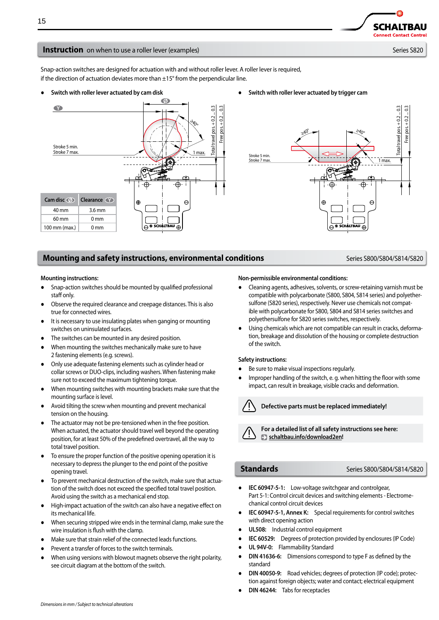**Connect Contact Control** 

**SCHALTBAU** 

## **Instruction** on when to use a roller lever (examples) Series S820

Snap-action switches are designed for actuation with and without roller lever. A roller lever is required, if the direction of actuation deviates more than  $\pm 15^{\circ}$  from the perpendicular line.



### ● **Switch with roller lever actuated by cam disk** ● **Switch with roller lever actuated by trigger cam**



# **Mounting and safety instructions, environmental conditions** *Series S800/S804/S814/S820*

### **Mounting instructions:**

- Snap-action switches should be mounted by qualified professional staff only.
- Observe the required clearance and creepage distances. This is also true for connected wires.
- It is necessary to use insulating plates when ganging or mounting switches on uninsulated surfaces.
- The switches can be mounted in any desired position.
- When mounting the switches mechanically make sure to have 2 fastening elements (e.g. screws).
- Only use adequate fastening elements such as cylinder head or collar screws or DUO-clips, including washers. When fastening make sure not to exceed the maximum tightening torque.
- When mounting switches with mounting brackets make sure that the mounting surface is level.
- Avoid tilting the screw when mounting and prevent mechanical tension on the housing.
- The actuator may not be pre-tensioned when in the free position. When actuated, the actuator should travel well beyond the operating position, for at least 50% of the predefined overtravel, all the way to total travel position.
- To ensure the proper function of the positive opening operation it is necessary to depress the plunger to the end point of the positive opening travel.
- To prevent mechanical destruction of the switch, make sure that actuation of the switch does not exceed the specified total travel position. Avoid using the switch as a mechanical end stop.
- High-impact actuation of the switch can also have a negative effect on its mechanical life.
- When securing stripped wire ends in the terminal clamp, make sure the wire insulation is flush with the clamp.
- Make sure that strain relief of the connected leads functions.
- Prevent a transfer of forces to the switch terminals.
- When using versions with blowout magnets observe the right polarity, see circuit diagram at the bottom of the switch.

#### **Non-permissible environmental conditions:**

- Cleaning agents, adhesives, solvents, or screw-retaining varnish must be compatible with polycarbonate (S800, S804, S814 series) and polyethersulfone (S820 series), respectively. Never use chemicals not compatible with polycarbonate for S800, S804 and S814 series switches and polyethersulfone for S820 series switches, respectively.
- Using chemicals which are not compatible can result in cracks, deformation, breakage and dissolution of the housing or complete destruction of the switch.

### **Safety instructions:**

- Be sure to make visual inspections regularly.
- Improper handling of the switch, e. g. when hitting the floor with some impact, can result in breakage, visible cracks and deformation.



### **Defective parts must be replaced immediately!**

**For a detailed list of all safety instructions see here: schaltbau.info/download2en!**

# **Standards 1988** Series S800/S804/S814/S820

- **IEC 60947-5-1:** Low-voltage switchgear and controlgear, Part 5-1: Control circuit devices and switching elements - Electromechanical control circuit devices
- **IEC 60947-5-1, Annex K:** Special requirements for control switches with direct opening action
- **UL508:** Industrial control equipment
- **IEC 60529:** Degrees of protection provided by enclosures (IP Code)
- UL 94V-0: Flammability Standard
- **DIN 41636-6:** Dimensions correspond to type F as defined by the standard
- **DIN 40050-9:** Road vehicles; degrees of protection (IP code); protection against foreign objects; water and contact; electrical equipment
- **DIN 46244:** Tabs for receptacles